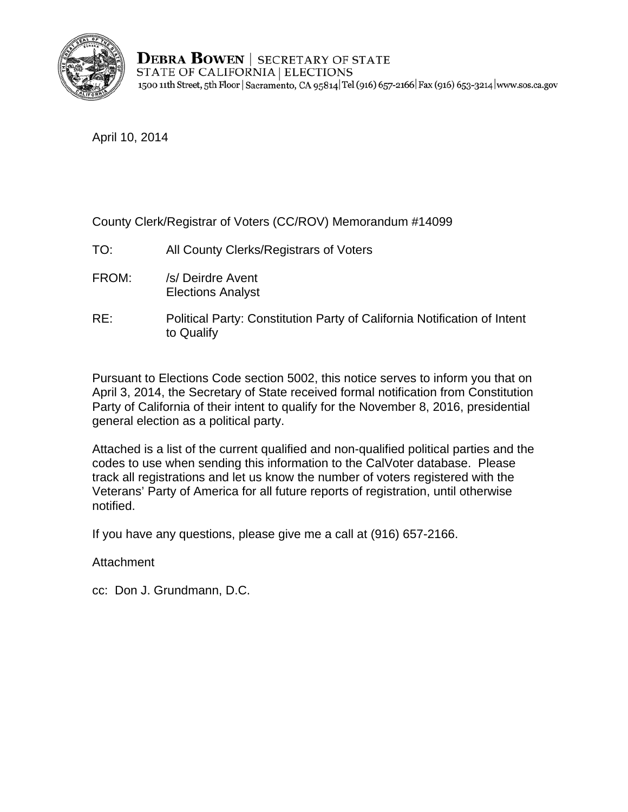

**DEBRA BOWEN** | SECRETARY OF STATE STATE OF CALIFORNIA | ELECTIONS 1500 11th Street, 5th Floor | Sacramento, CA 95814 Tel (916) 657-2166 | Fax (916) 653-3214 | www.sos.ca.gov

April 10, 2014

County Clerk/Registrar of Voters (CC/ROV) Memorandum #14099

- TO: All County Clerks/Registrars of Voters
- FROM: /s/ Deirdre Avent Elections Analyst
- RE: Political Party: Constitution Party of California Notification of Intent to Qualify

Pursuant to Elections Code section 5002, this notice serves to inform you that on April 3, 2014, the Secretary of State received formal notification from Constitution Party of California of their intent to qualify for the November 8, 2016, presidential general election as a political party.

Attached is a list of the current qualified and non-qualified political parties and the codes to use when sending this information to the CalVoter database. Please track all registrations and let us know the number of voters registered with the Veterans' Party of America for all future reports of registration, until otherwise notified.

If you have any questions, please give me a call at (916) 657-2166.

Attachment

cc: Don J. Grundmann, D.C.